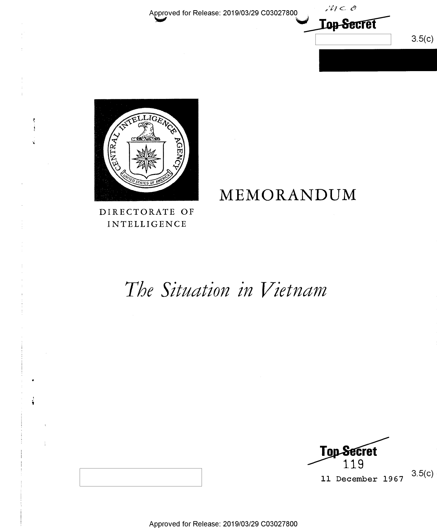Approved for Release: 2019/03/29 C03027800

 $M \subset \mathcal{O}$ **Lop-Secret**  $3.5(c)$ 



Ą j

÷

Ĵ.

DIRECTORATE OF **INTELLIGENCE** 

# The Situation in Vietnam

MEMORANDUM

Top Secret 11 December 1967

 $3.5(c)$ 

Approved for Release: 2019/03/29 C03027800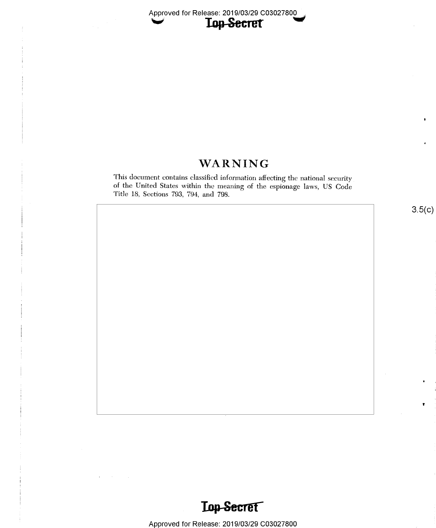## WARNING

This document contains classified information affecting the national security of the United States Within the meaning of the espionage laws, US Code Title 18, Sections 793, 794, and 798.

 $3.5(c)$ 

v

I.

I

0



 $\mathbf{q} = \mathbf{q} \times \mathbf{q}$  , where  $\mathbf{q} = \mathbf{q}$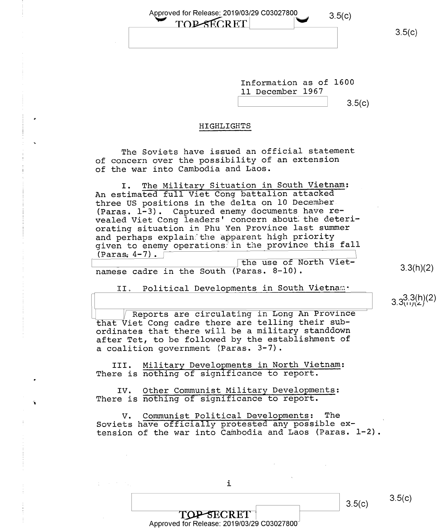Approved for Release: 2019/03/29 C03027800 3.5(c)<br>
TOPSECRET

 $3.5(c)$ 

3.3(h)(2)

 $3.3^{3.3(h)(2)}$ 

Information as of 1600 ll December 1967  $3.5(c)$ 

### HIGHLIGHTS

The Soviets have issued an official statement of concern over the possibility of an extension of the war into Cambodia and Laos.

I. The Military Situation in South Vietnam: An estimated full Viet Cong battalion attacked three US positions in the delta on 10 December (Paras.  $1-3$ ). Captured enemy documents have revealed Viet Cong leaders' concern about the deteriorating situation in Phu Yen Province last summer and perhaps explain the apparent high priority given to enemy operations in the province this fall  $(Paras, 4-7)$ .

the use of North Vietnamese cadre in the South (Paras. 8-10).

II. Political Developments in South Vietnam.

Reports are circulating in Long An Province that Viet Cong cadre there are telling their subordinates that there will be a military standdown after Tet, to be followed by the establishment of a coalition government (Paras. 3-7).

III. Military Developments in North Vietnam: There is nothing of significance to report.

IV. Other Communist Military Developments: There is nothing of significance to report.

V. Communist Political Developments: The Soviets have officially protested any possible extension of the war into Cambodia and Laos (Paras. 1-2).

 $3.5(c)$ 

၁.၁(၄)

i

TOP-SECRET Approved for Release: 2019/03/29 C03027800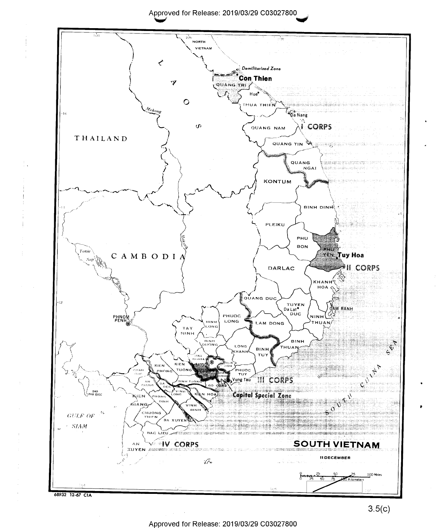Approved for Release: 2019/03/29 C03027800 \ 'iv' \*7

1



Approved for Release: 2019/03/29 C03027800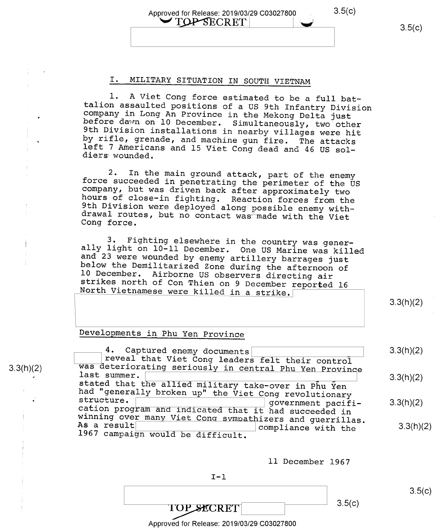### Approved for Release: 2019/03/29 C03027800 . 3.5(C)  $\sim$  TOP SECRET

### I. MILITARY SITUATION IN SOUTH VIETNAM

1. A Viet Cong force estimated to be a full bat-<br>talion assaulted positions of a US 9th Infantry Division<br>company in Long An Province in the Mekong Delta just<br>before dawn on 10 December. Simultaneously, two other<br>9th Divis

2. In the main ground attack, part of the enemy<br>force succeeded in penetrating the perimeter of the US<br>company, but was driven back after approximately two<br>hours of close-in fighting. Reaction forces from the<br>9th Division

3. Fighting elsewhere in the country was generally light on  $10$ -11 December. One US Marine was killed and 23 were wounded by enemy artillery barrages just below the Demilitarized Zone during the afternoon of 10 December.

3.3(h)(2)

 $3.5(c)$ 

### Developments in Phu Yen Province

4. Captured enemy documents<br>
reveal that Viet Cong leaders felt their control<br>
was deteriorating seriously in central Phu Yen Provinc ast summer. stated that the allied military take-over in Phu Yen had "generally broken up" the Viet Cong revolutionary structure.<br>structure. government pacifi-<br>cation program and indicated that it had succeeded in winning over many Viet Cong sympathizers and guerrillas.<br>As a result<br>1967 campaign would be difficult. compliance with the 3.3(h)(2) 3.3(h)(2) 3.3(h)(2) 3.3(h)(2)

ll December 1967

$$
\mathbf{I}-\mathbf{1}
$$

TOP SECRET  $3.5(c)$ 

Approved for Release: 2019/03/29 C03027800

3.3(h)(2)

w

I

0

s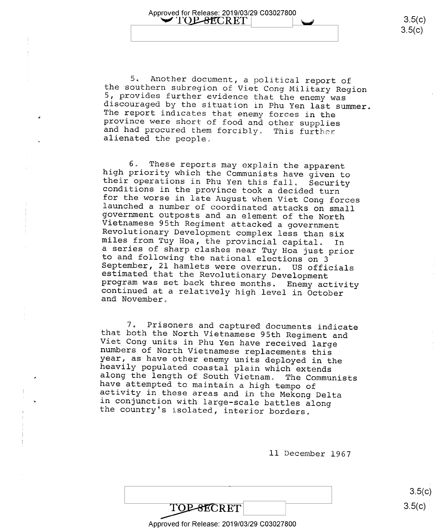5. Another document, a political report of<br>the southern subregion of Viet Cong Military Region<br>5, provides further evidence that the enemy was<br>discouraged by the situation in Phu Yen last summer.<br>The report indicates that

Approved for Release: 2019/03/29 C03027800<br>
<u>VIOP-8</u>ECRET |

<sup>6</sup>. These reports may explain the apparent<br>high priority which the Communists have given to<br>their operations in Phu Yen this fall. Security<br>conditions in the province took a decided turn<br>for the worse in late August when

7. Prisoners and captured documents indicate<br>that both the North Vietnamese 95th Regiment and<br>Viet Cong units in Phu Yen have received large<br>numbers of North Vietnamese replacements this<br>year, as have other enemy units dep

ll December 1967

**TOP-SECRET** 

Approved for Release: 2019/03/29 C03027800

 $3.5(c)$  $3.5(c)$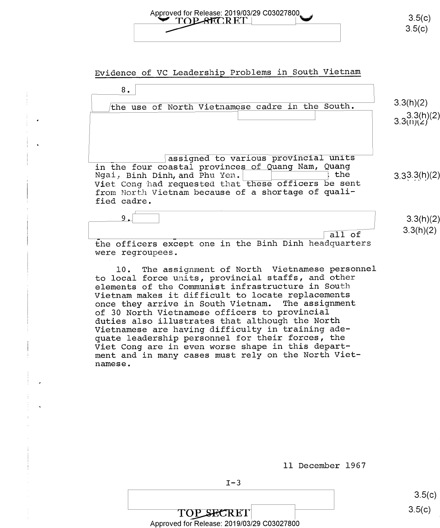# Approved for Release: 2019/03/29 C03027800

Evidence of VC Leadership Problems in South Vietnam

| 8.<br>the use of North Vietnamese cadre in the South.                                                                                                                                                                                                         | 3.3(h)(2)<br>$3.3(h)(2)$<br>3.3((1)(2) |
|---------------------------------------------------------------------------------------------------------------------------------------------------------------------------------------------------------------------------------------------------------------|----------------------------------------|
| assigned to various provincial units<br>in the four coastal provinces of Quang Nam, Quang<br>the<br>Ngai, Binh Dinh, and Phu Yen.<br>Viet Cong had requested that these officers be sent<br>from North Vietnam because of a shortage of quali-<br>fied cadre. | 3.33.3(h)(2)                           |
| 9.<br>all of<br>the officers except one in the Binh Dinh headquarters<br>were regroupees.                                                                                                                                                                     | 3.3(h)(2)<br>3.3(h)(2)                 |

l0. The assignment of North Vietnamese personnel to local force units, provincial staffs, and other elements of the Communist infrastructure in South Vietnam makes it difficult to locate replacements once they arrive in South Vietnam. The assignment of 30 North Vietnamese officers to provincial duties also illustrates that although the North Vietnamese are having difficulty in training adequate leadership personnel for their forces, the Viet Cong are in even worse shape in this department and in many cases must rely on the North Vietnamese.

| 3.5(c) |
|--------|
| 3.5(c) |

ll December 1967

 $I-3$ 

Approved for Release: 2019/03/29 C03027800

TOP SECRET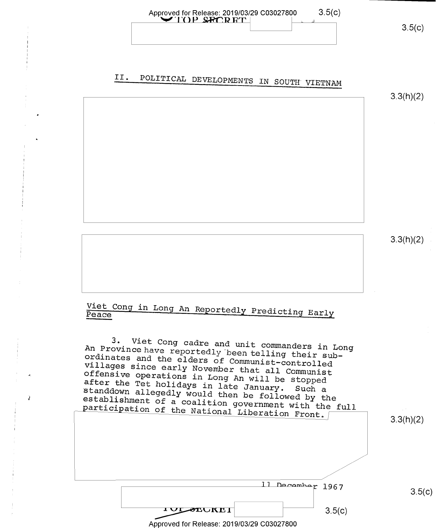

# II. POLITICAL DEVELOPMENTS IN SOUTH VIETNAM

3.3(h)(2)

3.3(h)(2)

# Viet Cong in Long An Reportedly Predicting Early Peace

An Province have reportedly been telling their sub-3. Viet Cong cadre and unit commanders in Long ordinates and the elders of Communist-controlled Offensive operations in Long An will be stopped<br>after the Tet holidays in late January, Such villages since early November that all Communist after the Tet holidays in late January. Such a<br>standdown allegedly would then be followed by the<br>establishment of a coalition government with the full standdown allegedly would then be followed by the participation of the National Liberation Front.

3.3(h)(2)

11 December 1967

3.5(C)

 $3.5(c)$ 

Approved for Release: 2019/03/29 C03027800

**IUL SEUREI**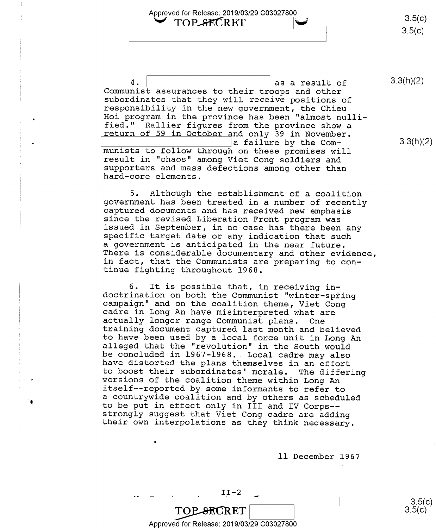Approved for Release: 2019/03/29 C03027800 TOP SECRET

 $3.5(c)$  $3.5(c)$ 

4.  $\vert$   $\vert$  as a result of 3.3(h)(2)<br>Communist assurances to their troops and other subordinates that they will receive positions of<br>responsibility in the new government, the Chieu<br>Hoi program in the province has been "almost nulli-<br>fied." Rallier figures from the province show a<br>return of 59 in October a a failure by the Com-<br>
munists to follow through on these promises will<br>
result in "chaos" among Viet Cong soldiers and<br>
supporters and mass defections among other than<br>
hard-core elements.

.

5. Although the establishment of a coalition<br>government has been treated in a number of recently<br>captured documents and has received new emphasis<br>since the revised Liberation Front program was<br>issued in September, in no ca There is considerable documentary and other evidence,<br>in fact, that the Communists are preparing to con-<br>tinue fighting throughout 1968.

6. It is possible that, in receiving in-<br>doctrination on both the Communist "winter-spring<br>campaign" and on the coalition theme, Viet Cong<br>cadre in Long An have misinterpreted what are<br>actually longer range Communist plans <sup>a</sup>countrywide coalition and by others as scheduled to be put in effect only in III and IV Corps—— strongly suggest that Viet Cong cadre are adding their own interpolations as they think necessary.

ll December 1967

## $\sim$  s.5(c)

Approved for Release: 2019/03/29 C03027800

 $3.5(c)$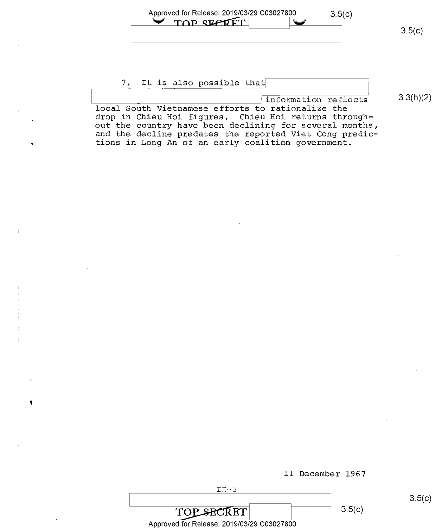| Approved for Release: 2019/03/29 C03027800 | 3.5(c) |        |
|--------------------------------------------|--------|--------|
| TOP SECRET                                 |        | 3.5(c) |

#### 7. It is also possible that

 $\sqrt{\text{information reflects}}$  3.3(h)(2) local South Vietnamese efforts to rationalize the drop in Chieu Hoi figures. Chieu Hoi returns throughout the country have been declining for several months, and the decline predates the reported Viet Cong predictions in Long An of an early coalition government.

 $I:~-3$ 

ll December 1967

 $3.5(c)$ 

 $3.5(c)$ 

**TOP SECRET** Approved for Release: 2019/03/29 C03027800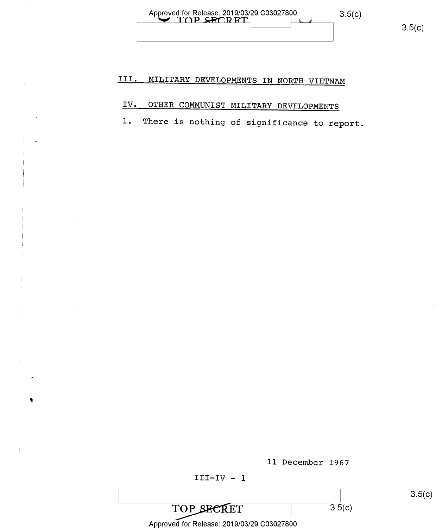Approved for Release: 2019/03/29 C03027800

÷

 $\blacklozenge$ 

#### III. MILITARY DEVELOPMENTS IN NORTH VIETNAM

## IV. OTHER COMMUNIST MILITARY DEVELOPMENTS

There is nothing of significance to report.  $1.$ 

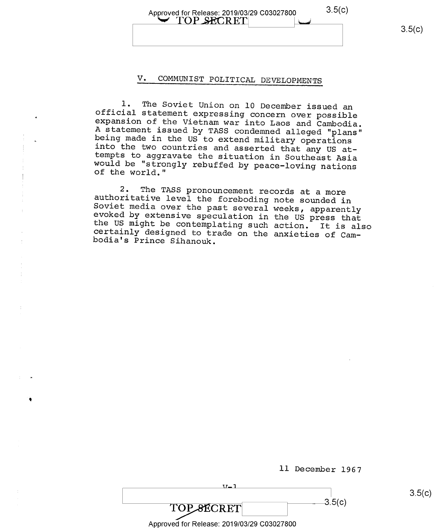Approved for Release: 2019/03/29 C03027800  $3.5(C)$ <br>  $\overline{YOP}$  SECRET 3.5(c)  $3.5(c)$ 

### V. COMMUNIST POLITICAL DEVELOPMENTS

1. The Soviet Union on 10 December issued an<br>official statement expressing concern over possible<br>expansion of the Vietnam war into Laos and Cambodia.<br>A statement issued by TASS condemned alleged "plans"<br>being made in the U

2. The TASS pronouncement records at a more<br>authoritative level the foreboding note sounded in<br>Soviet media over the past several weeks, apparently<br>evoked by extensive speculation in the US press that<br>the US might be conte the US might be contemplating such action. It is also

| 37— J                                      |        | 3.5(c) |
|--------------------------------------------|--------|--------|
| TOP SECRET                                 | 3.5(c) |        |
| Approved for Release: 2019/03/29 C03027800 |        |        |

ll December l967